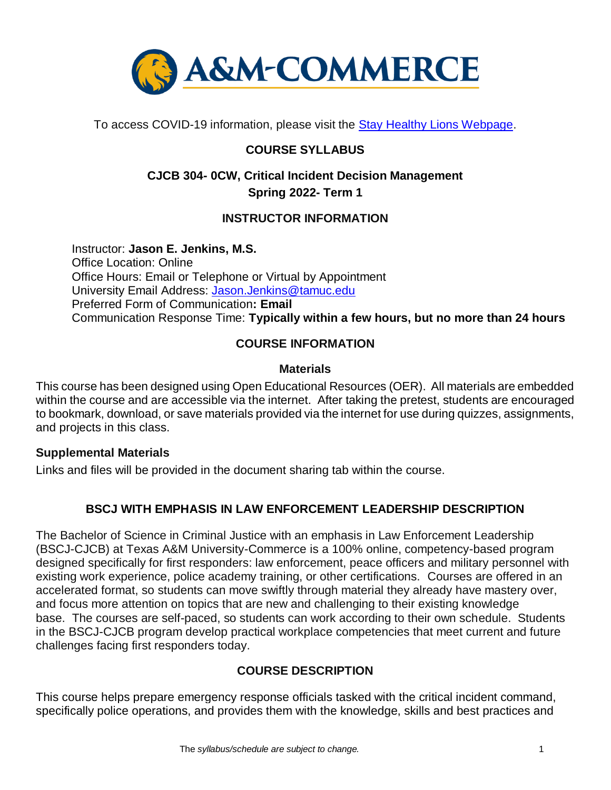

To access COVID-19 information, please visit the [Stay Healthy Lions Webpage.](https://new.tamuc.edu/coronavirus/)

# **COURSE SYLLABUS**

# **CJCB 304- 0CW, Critical Incident Decision Management Spring 2022- Term 1**

# **INSTRUCTOR INFORMATION**

Instructor: **Jason E. Jenkins, M.S.** Office Location: Online Office Hours: Email or Telephone or Virtual by Appointment University Email Address: [Jason.Jenkins@tamuc.edu](mailto:Jason.Jenkins@tamuc.edu) Preferred Form of Communication**: Email** Communication Response Time: **Typically within a few hours, but no more than 24 hours**

# **COURSE INFORMATION**

# **Materials**

This course has been designed using Open Educational Resources (OER). All materials are embedded within the course and are accessible via the internet. After taking the pretest, students are encouraged to bookmark, download, or save materials provided via the internet for use during quizzes, assignments, and projects in this class.

#### **Supplemental Materials**

Links and files will be provided in the document sharing tab within the course.

# **BSCJ WITH EMPHASIS IN LAW ENFORCEMENT LEADERSHIP DESCRIPTION**

The Bachelor of Science in Criminal Justice with an emphasis in Law Enforcement Leadership (BSCJ-CJCB) at Texas A&M University-Commerce is a 100% online, competency-based program designed specifically for first responders: law enforcement, peace officers and military personnel with existing work experience, police academy training, or other certifications. Courses are offered in an accelerated format, so students can move swiftly through material they already have mastery over, and focus more attention on topics that are new and challenging to their existing knowledge base. The courses are self-paced, so students can work according to their own schedule. Students in the BSCJ-CJCB program develop practical workplace competencies that meet current and future challenges facing first responders today.

# **[COURSE DESCRIPTION](http://catalog.tamuc.edu/undergrad/colleges-and-departments/college-of-innovation-design/baas-organizational-leadership/?_ga=2.81546143.928332977.1616426723-584154711.1595512675)**

This course helps prepare emergency response officials tasked with the critical incident command, specifically police operations, and provides them with the knowledge, skills and best practices and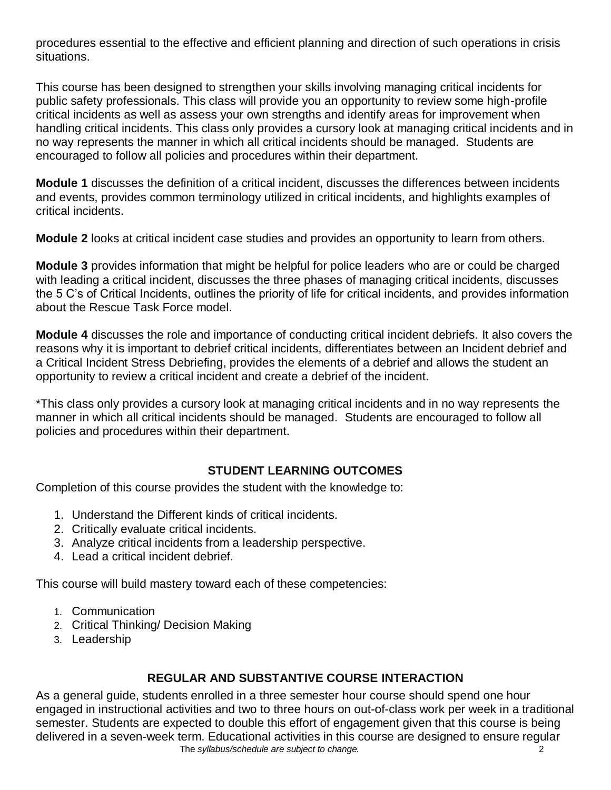procedures essential to the effective and efficient planning and direction of such operations in crisis situations.

This course has been designed to strengthen your skills involving managing critical incidents for public safety professionals. This class will provide you an opportunity to review some high-profile critical incidents as well as assess your own strengths and identify areas for improvement when handling critical incidents. This class only provides a cursory look at managing critical incidents and in no way represents the manner in which all critical incidents should be managed. Students are encouraged to follow all policies and procedures within their department.

**Module 1** discusses the definition of a critical incident, discusses the differences between incidents and events, provides common terminology utilized in critical incidents, and highlights examples of critical incidents.

**Module 2** looks at critical incident case studies and provides an opportunity to learn from others.

**Module 3** provides information that might be helpful for police leaders who are or could be charged with leading a critical incident, discusses the three phases of managing critical incidents, discusses the 5 C's of Critical Incidents, outlines the priority of life for critical incidents, and provides information about the Rescue Task Force model.

**Module 4** discusses the role and importance of conducting critical incident debriefs. It also covers the reasons why it is important to debrief critical incidents, differentiates between an Incident debrief and a Critical Incident Stress Debriefing, provides the elements of a debrief and allows the student an opportunity to review a critical incident and create a debrief of the incident.

\*This class only provides a cursory look at managing critical incidents and in no way represents the manner in which all critical incidents should be managed. Students are encouraged to follow all policies and procedures within their department.

# **STUDENT LEARNING OUTCOMES**

Completion of this course provides the student with the knowledge to:

- 1. Understand the Different kinds of critical incidents.
- 2. Critically evaluate critical incidents.
- 3. Analyze critical incidents from a leadership perspective.
- 4. Lead a critical incident debrief.

This course will build mastery toward each of these competencies:

- 1. Communication
- 2. Critical Thinking/ Decision Making
- 3. Leadership

# **REGULAR AND SUBSTANTIVE COURSE INTERACTION**

The *syllabus/schedule are subject to change.*  $\overline{2}$ As a general guide, students enrolled in a three semester hour course should spend one hour engaged in instructional activities and two to three hours on out-of-class work per week in a traditional semester. Students are expected to double this effort of engagement given that this course is being delivered in a seven-week term. Educational activities in this course are designed to ensure regular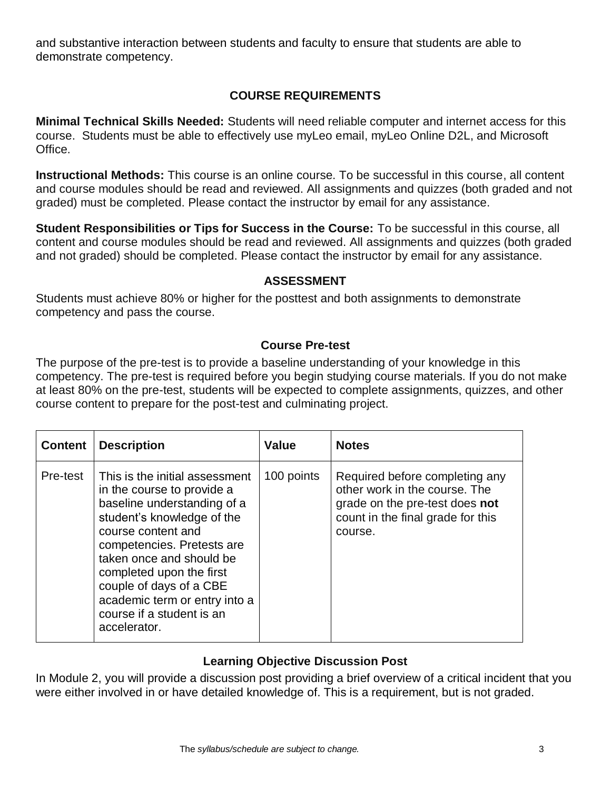and substantive interaction between students and faculty to ensure that students are able to demonstrate competency.

# **COURSE REQUIREMENTS**

**Minimal Technical Skills Needed:** Students will need reliable computer and internet access for this course. Students must be able to effectively use myLeo email, myLeo Online D2L, and Microsoft Office.

**Instructional Methods:** This course is an online course. To be successful in this course, all content and course modules should be read and reviewed. All assignments and quizzes (both graded and not graded) must be completed. Please contact the instructor by email for any assistance.

**Student Responsibilities or Tips for Success in the Course:** To be successful in this course, all content and course modules should be read and reviewed. All assignments and quizzes (both graded and not graded) should be completed. Please contact the instructor by email for any assistance.

### **ASSESSMENT**

Students must achieve 80% or higher for the posttest and both assignments to demonstrate competency and pass the course.

### **Course Pre-test**

The purpose of the pre-test is to provide a baseline understanding of your knowledge in this competency. The pre-test is required before you begin studying course materials. If you do not make at least 80% on the pre-test, students will be expected to complete assignments, quizzes, and other course content to prepare for the post-test and culminating project.

| <b>Content</b> | <b>Description</b>                                                                                                                                                                                                                                                                                                                             | <b>Value</b> | <b>Notes</b>                                                                                                                                      |
|----------------|------------------------------------------------------------------------------------------------------------------------------------------------------------------------------------------------------------------------------------------------------------------------------------------------------------------------------------------------|--------------|---------------------------------------------------------------------------------------------------------------------------------------------------|
| Pre-test       | This is the initial assessment<br>in the course to provide a<br>baseline understanding of a<br>student's knowledge of the<br>course content and<br>competencies. Pretests are<br>taken once and should be<br>completed upon the first<br>couple of days of a CBE<br>academic term or entry into a<br>course if a student is an<br>accelerator. | 100 points   | Required before completing any<br>other work in the course. The<br>grade on the pre-test does not<br>count in the final grade for this<br>course. |

# **Learning Objective Discussion Post**

In Module 2, you will provide a discussion post providing a brief overview of a critical incident that you were either involved in or have detailed knowledge of. This is a requirement, but is not graded.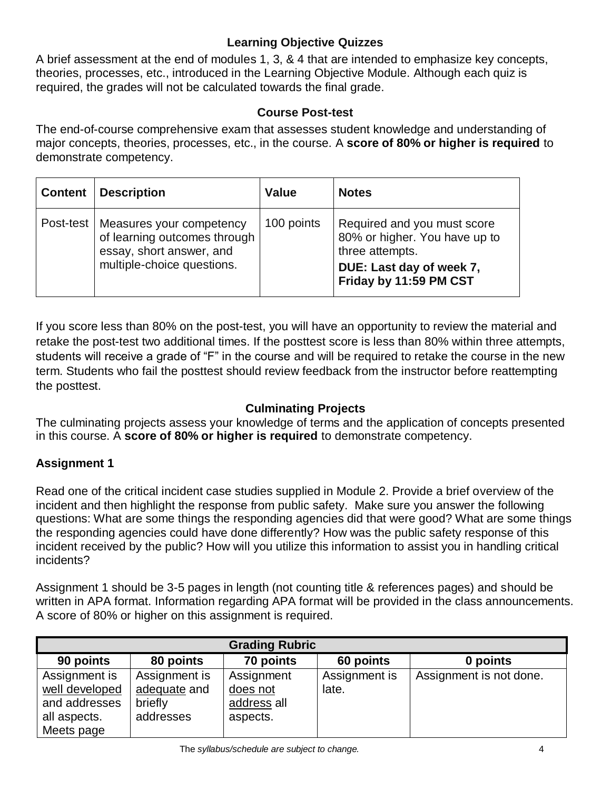# **Learning Objective Quizzes**

A brief assessment at the end of modules 1, 3, & 4 that are intended to emphasize key concepts, theories, processes, etc., introduced in the Learning Objective Module. Although each quiz is required, the grades will not be calculated towards the final grade.

# **Course Post-test**

The end-of-course comprehensive exam that assesses student knowledge and understanding of major concepts, theories, processes, etc., in the course. A **score of 80% or higher is required** to demonstrate competency.

| <b>Content</b> | <b>Description</b>                                                                                                             | <b>Value</b> | <b>Notes</b>                                                                                                                          |
|----------------|--------------------------------------------------------------------------------------------------------------------------------|--------------|---------------------------------------------------------------------------------------------------------------------------------------|
|                | Post-test   Measures your competency<br>of learning outcomes through<br>essay, short answer, and<br>multiple-choice questions. | 100 points   | Required and you must score<br>80% or higher. You have up to<br>three attempts.<br>DUE: Last day of week 7,<br>Friday by 11:59 PM CST |

If you score less than 80% on the post-test, you will have an opportunity to review the material and retake the post-test two additional times. If the posttest score is less than 80% within three attempts, students will receive a grade of "F" in the course and will be required to retake the course in the new term. Students who fail the posttest should review feedback from the instructor before reattempting the posttest.

# **Culminating Projects**

The culminating projects assess your knowledge of terms and the application of concepts presented in this course. A **score of 80% or higher is required** to demonstrate competency.

# **Assignment 1**

Read one of the critical incident case studies supplied in Module 2. Provide a brief overview of the incident and then highlight the response from public safety. Make sure you answer the following questions: What are some things the responding agencies did that were good? What are some things the responding agencies could have done differently? How was the public safety response of this incident received by the public? How will you utilize this information to assist you in handling critical incidents?

Assignment 1 should be 3-5 pages in length (not counting title & references pages) and should be written in APA format. Information regarding APA format will be provided in the class announcements. A score of 80% or higher on this assignment is required.

| <b>Grading Rubric</b>                                                          |                                                       |                                                   |                        |                         |
|--------------------------------------------------------------------------------|-------------------------------------------------------|---------------------------------------------------|------------------------|-------------------------|
| 90 points                                                                      | 80 points                                             | 70 points                                         | 60 points              | 0 points                |
| Assignment is<br>well developed<br>and addresses<br>all aspects.<br>Meets page | Assignment is<br>adequate and<br>briefly<br>addresses | Assignment<br>does not<br>address all<br>aspects. | Assignment is<br>late. | Assignment is not done. |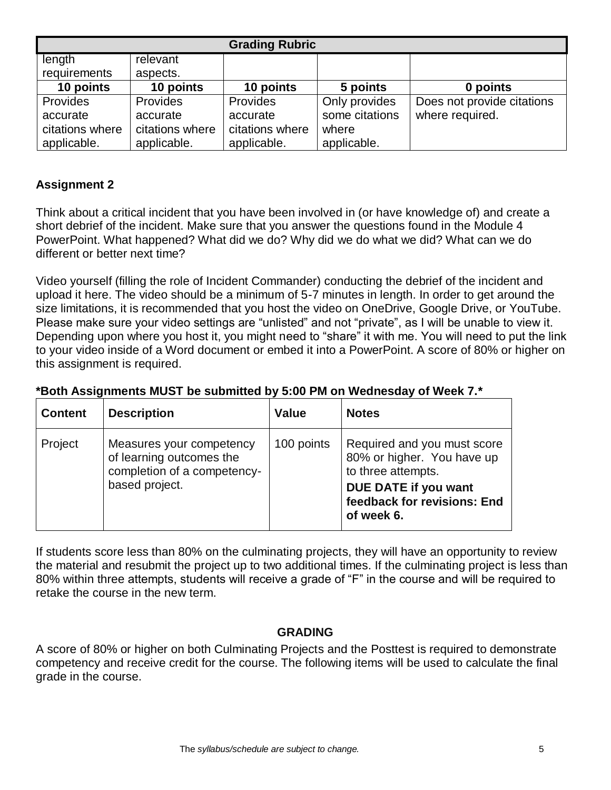| <b>Grading Rubric</b> |                 |                 |                |                            |
|-----------------------|-----------------|-----------------|----------------|----------------------------|
| length                | relevant        |                 |                |                            |
| requirements          | aspects.        |                 |                |                            |
| 10 points             | 10 points       | 10 points       | 5 points       | 0 points                   |
| Provides              | Provides        | Provides        | Only provides  | Does not provide citations |
| accurate              | accurate        | accurate        | some citations | where required.            |
| citations where       | citations where | citations where | where          |                            |
| applicable.           | applicable.     | applicable.     | applicable.    |                            |

### **Assignment 2**

Think about a critical incident that you have been involved in (or have knowledge of) and create a short debrief of the incident. Make sure that you answer the questions found in the Module 4 PowerPoint. What happened? What did we do? Why did we do what we did? What can we do different or better next time?

Video yourself (filling the role of Incident Commander) conducting the debrief of the incident and upload it here. The video should be a minimum of 5-7 minutes in length. In order to get around the size limitations, it is recommended that you host the video on OneDrive, Google Drive, or YouTube. Please make sure your video settings are "unlisted" and not "private", as I will be unable to view it. Depending upon where you host it, you might need to "share" it with me. You will need to put the link to your video inside of a Word document or embed it into a PowerPoint. A score of 80% or higher on this assignment is required.

| *Both Assignments MUST be submitted by 5:00 PM on Wednesday of Week 7.* |  |  |
|-------------------------------------------------------------------------|--|--|
|                                                                         |  |  |

| <b>Content</b> | <b>Description</b>                                                                                    | <b>Value</b> | <b>Notes</b>                                                                                                                                         |
|----------------|-------------------------------------------------------------------------------------------------------|--------------|------------------------------------------------------------------------------------------------------------------------------------------------------|
| Project        | Measures your competency<br>of learning outcomes the<br>completion of a competency-<br>based project. | 100 points   | Required and you must score<br>80% or higher. You have up<br>to three attempts.<br>DUE DATE if you want<br>feedback for revisions: End<br>of week 6. |

If students score less than 80% on the culminating projects, they will have an opportunity to review the material and resubmit the project up to two additional times. If the culminating project is less than 80% within three attempts, students will receive a grade of "F" in the course and will be required to retake the course in the new term.

#### **GRADING**

A score of 80% or higher on both Culminating Projects and the Posttest is required to demonstrate competency and receive credit for the course. The following items will be used to calculate the final grade in the course.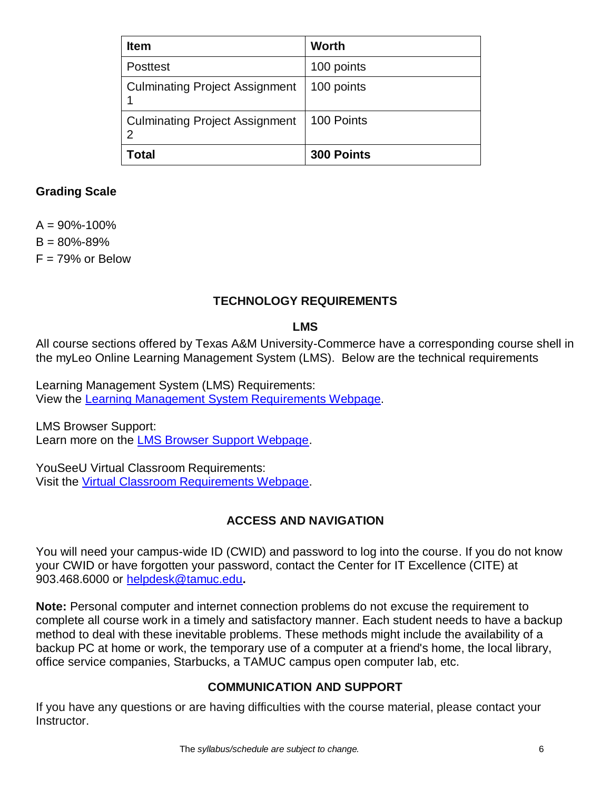| <b>Item</b>                           | <b>Worth</b>      |
|---------------------------------------|-------------------|
| <b>Posttest</b>                       | 100 points        |
| <b>Culminating Project Assignment</b> | 100 points        |
| <b>Culminating Project Assignment</b> | 100 Points        |
| Total                                 | <b>300 Points</b> |

## **Grading Scale**

 $A = 90\% - 100\%$  $B = 80\% - 89\%$  $F = 79%$  or Below

# **TECHNOLOGY REQUIREMENTS**

### **LMS**

All course sections offered by Texas A&M University-Commerce have a corresponding course shell in the myLeo Online Learning Management System (LMS). Below are the technical requirements

Learning Management System (LMS) Requirements: View the [Learning Management System Requirements Webpage.](https://community.brightspace.com/s/article/Brightspace-Platform-Requirements)

LMS Browser Support: Learn more on the [LMS Browser Support Webpage.](https://documentation.brightspace.com/EN/brightspace/requirements/all/browser_support.htm)

YouSeeU Virtual Classroom Requirements: Visit the [Virtual Classroom Requirements Webpage.](https://support.youseeu.com/hc/en-us/articles/115007031107-Basic-System-Requirements)

# **ACCESS AND NAVIGATION**

You will need your campus-wide ID (CWID) and password to log into the course. If you do not know your CWID or have forgotten your password, contact the Center for IT Excellence (CITE) at 903.468.6000 or [helpdesk@tamuc.edu](mailto:helpdesk@tamuc.edu)**.**

**Note:** Personal computer and internet connection problems do not excuse the requirement to complete all course work in a timely and satisfactory manner. Each student needs to have a backup method to deal with these inevitable problems. These methods might include the availability of a backup PC at home or work, the temporary use of a computer at a friend's home, the local library, office service companies, Starbucks, a TAMUC campus open computer lab, etc.

# **COMMUNICATION AND SUPPORT**

If you have any questions or are having difficulties with the course material, please contact your Instructor.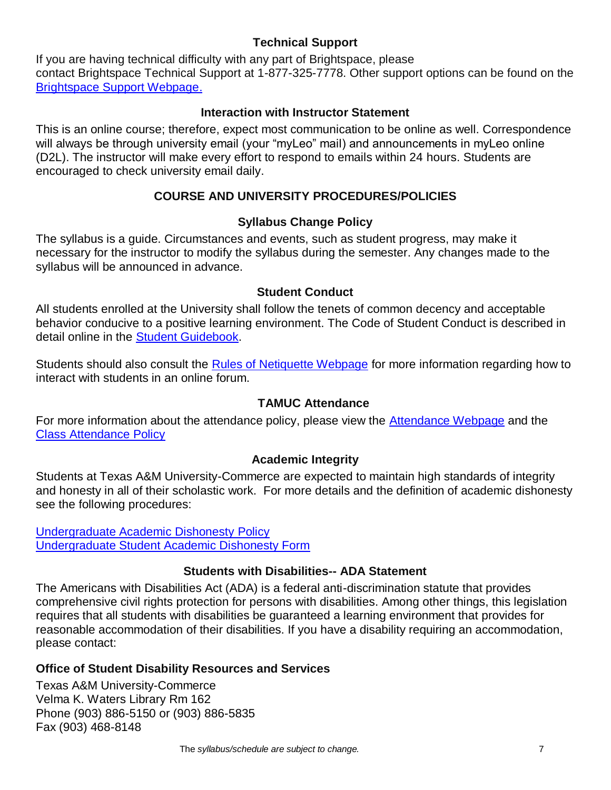### **Technical Support**

If you are having technical difficulty with any part of Brightspace, please contact Brightspace Technical Support at 1-877-325-7778. Other support options can be found on the [Brightspace Support Webpage.](https://community.brightspace.com/support/s/contactsupport)

#### **Interaction with Instructor Statement**

This is an online course; therefore, expect most communication to be online as well. Correspondence will always be through university email (your "myLeo" mail) and announcements in myLeo online (D2L). The instructor will make every effort to respond to emails within 24 hours. Students are encouraged to check university email daily.

# **COURSE AND UNIVERSITY PROCEDURES/POLICIES**

### **Syllabus Change Policy**

The syllabus is a guide. Circumstances and events, such as student progress, may make it necessary for the instructor to modify the syllabus during the semester. Any changes made to the syllabus will be announced in advance.

### **Student Conduct**

All students enrolled at the University shall follow the tenets of common decency and acceptable behavior conducive to a positive learning environment. The Code of Student Conduct is described in detail online in the [Student Guidebook.](http://www.tamuc.edu/Admissions/oneStopShop/undergraduateAdmissions/studentGuidebook.aspx)

Students should also consult the [Rules of Netiquette Webpage](https://www.britannica.com/topic/netiquette) for more information regarding how to interact with students in an online forum.

# **TAMUC Attendance**

For more information about the attendance policy, please view the **Attendance Webpage** and the [Class Attendance Policy](http://www.tamuc.edu/aboutUs/policiesProceduresStandardsStatements/rulesProcedures/13students/academic/13.99.99.R0.01.pdf)

#### **Academic Integrity**

Students at Texas A&M University-Commerce are expected to maintain high standards of integrity and honesty in all of their scholastic work. For more details and the definition of academic dishonesty see the following procedures:

[Undergraduate Academic Dishonesty P](http://www.tamuc.edu/aboutUs/policiesProceduresStandardsStatements/rulesProcedures/13students/undergraduates/13.99.99.R0.03UndergraduateAcademicDishonesty.pdf)olicy [Undergraduate Student Academic Dishonesty Form](http://www.tamuc.edu/aboutUs/policiesProceduresStandardsStatements/rulesProcedures/documents/13.99.99.R0.03UndergraduateStudentAcademicDishonestyForm.pdf)

#### **Students with Disabilities-- ADA Statement**

The Americans with Disabilities Act (ADA) is a federal anti-discrimination statute that provides comprehensive civil rights protection for persons with disabilities. Among other things, this legislation requires that all students with disabilities be guaranteed a learning environment that provides for reasonable accommodation of their disabilities. If you have a disability requiring an accommodation, please contact:

#### **Office of Student Disability Resources and Services**

Texas A&M University-Commerce Velma K. Waters Library Rm 162 Phone (903) 886-5150 or (903) 886-5835 Fax (903) 468-8148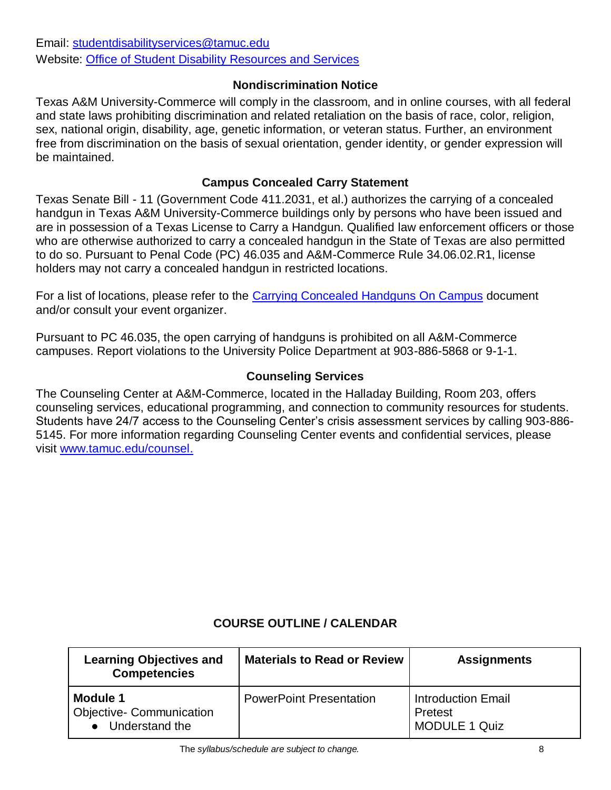Email: [studentdisabilityservices@tamuc.edu](mailto:studentdisabilityservices@tamuc.edu) Website: [Office of Student Disability Resources and Services](http://www.tamuc.edu/campusLife/campusServices/studentDisabilityResourcesAndServices/)

### **Nondiscrimination Notice**

Texas A&M University-Commerce will comply in the classroom, and in online courses, with all federal and state laws prohibiting discrimination and related retaliation on the basis of race, color, religion, sex, national origin, disability, age, genetic information, or veteran status. Further, an environment free from discrimination on the basis of sexual orientation, gender identity, or gender expression will be maintained.

#### **Campus Concealed Carry Statement**

Texas Senate Bill - 11 (Government Code 411.2031, et al.) authorizes the carrying of a concealed handgun in Texas A&M University-Commerce buildings only by persons who have been issued and are in possession of a Texas License to Carry a Handgun. Qualified law enforcement officers or those who are otherwise authorized to carry a concealed handgun in the State of Texas are also permitted to do so. Pursuant to Penal Code (PC) 46.035 and A&M-Commerce Rule 34.06.02.R1, license holders may not carry a concealed handgun in restricted locations.

For a list of locations, please refer to the [Carrying Concealed Handguns On Campus](http://www.tamuc.edu/aboutUs/policiesProceduresStandardsStatements/rulesProcedures/34SafetyOfEmployeesAndStudents/34.06.02.R1.pdf) document and/or consult your event organizer.

Pursuant to PC 46.035, the open carrying of handguns is prohibited on all A&M-Commerce campuses. Report violations to the University Police Department at 903-886-5868 or 9-1-1.

### **Counseling Services**

The Counseling Center at A&M-Commerce, located in the Halladay Building, Room 203, offers counseling services, educational programming, and connection to community resources for students. Students have 24/7 access to the Counseling Center's crisis assessment services by calling 903-886- 5145. For more information regarding Counseling Center events and confidential services, please visit [www.tamuc.edu/counsel.](http://www.tamuc.edu/counsel)

#### **COURSE OUTLINE / CALENDAR**

| <b>Learning Objectives and</b><br><b>Competencies</b>           | <b>Materials to Read or Review</b> | <b>Assignments</b>                                           |
|-----------------------------------------------------------------|------------------------------------|--------------------------------------------------------------|
| Module 1<br><b>Objective- Communication</b><br>• Understand the | <b>PowerPoint Presentation</b>     | <b>Introduction Email</b><br>Pretest<br><b>MODULE 1 Quiz</b> |